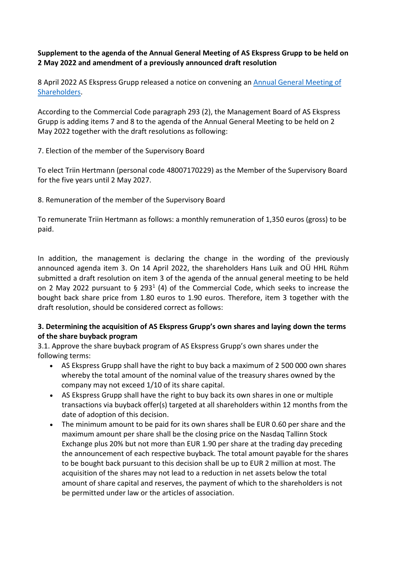## **Supplement to the agenda of the Annual General Meeting of AS Ekspress Grupp to be held on 2 May 2022 and amendment of a previously announced draft resolution**

8 April 2022 AS Ekspress Grupp released a notice on convening an [Annual General Meeting of](https://view.news.eu.nasdaq.com/view?id=bc9099564cd76065cc1a4320c16e2ef9f&lang=en)  [Shareholders.](https://view.news.eu.nasdaq.com/view?id=bc9099564cd76065cc1a4320c16e2ef9f&lang=en)

According to the Commercial Code paragraph 293 (2), the Management Board of AS Ekspress Grupp is adding items 7 and 8 to the agenda of the Annual General Meeting to be held on 2 May 2022 together with the draft resolutions as following:

7. Election of the member of the Supervisory Board

To elect Triin Hertmann (personal code 48007170229) as the Member of the Supervisory Board for the five years until 2 May 2027.

8. Remuneration of the member of the Supervisory Board

To remunerate Triin Hertmann as follows: a monthly remuneration of 1,350 euros (gross) to be paid.

In addition, the management is declaring the change in the wording of the previously announced agenda item 3. On 14 April 2022, the shareholders Hans Luik and OÜ HHL Rühm submitted a draft resolution on item 3 of the agenda of the annual general meeting to be held on 2 May 2022 pursuant to  $\S$  293<sup>1</sup> (4) of the Commercial Code, which seeks to increase the bought back share price from 1.80 euros to 1.90 euros. Therefore, item 3 together with the draft resolution, should be considered correct as follows:

## **3. Determining the acquisition of AS Ekspress Grupp's own shares and laying down the terms of the share buyback program**

3.1. Approve the share buyback program of AS Ekspress Grupp's own shares under the following terms:

- AS Ekspress Grupp shall have the right to buy back a maximum of 2 500 000 own shares whereby the total amount of the nominal value of the treasury shares owned by the company may not exceed 1/10 of its share capital.
- AS Ekspress Grupp shall have the right to buy back its own shares in one or multiple transactions via buyback offer(s) targeted at all shareholders within 12 months from the date of adoption of this decision.
- The minimum amount to be paid for its own shares shall be EUR 0.60 per share and the maximum amount per share shall be the closing price on the Nasdaq Tallinn Stock Exchange plus 20% but not more than EUR 1.90 per share at the trading day preceding the announcement of each respective buyback. The total amount payable for the shares to be bought back pursuant to this decision shall be up to EUR 2 million at most. The acquisition of the shares may not lead to a reduction in net assets below the total amount of share capital and reserves, the payment of which to the shareholders is not be permitted under law or the articles of association.